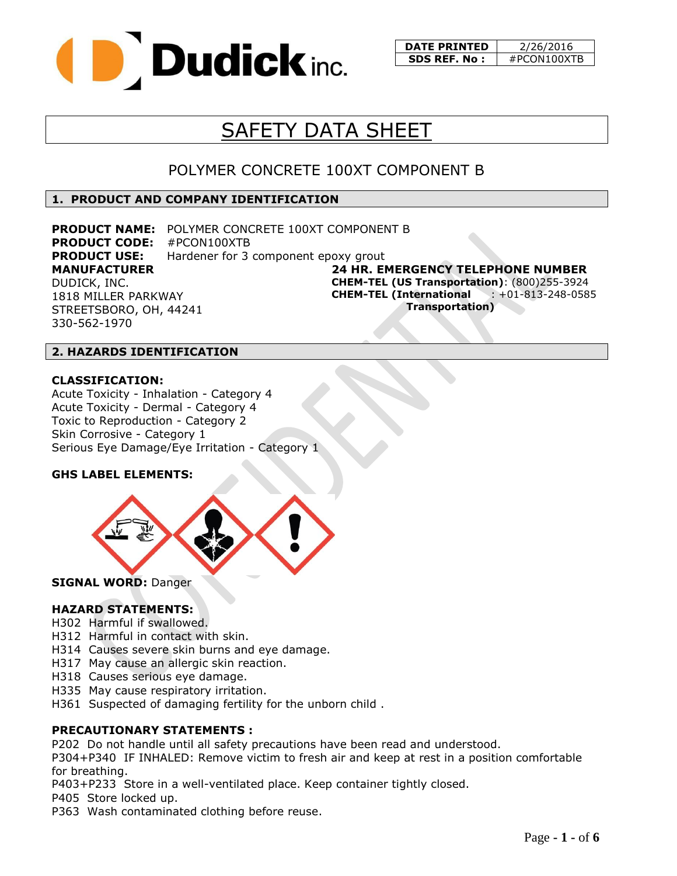

**DATE PRINTED** | 2/26/2016 **SDS REF. No :** | #PCON100XTB

# SAFETY DATA SHEET

### POLYMER CONCRETE 100XT COMPONENT B

#### **1. PRODUCT AND COMPANY IDENTIFICATION**

**MANUFACTURER** DUDICK, INC. 1818 MILLER PARKWAY STREETSBORO, OH, 44241 330-562-1970 **PRODUCT NAME:** POLYMER CONCRETE 100XT COMPONENT B **PRODUCT CODE:** #PCON100XTB **PRODUCT USE:** Hardener for 3 component epoxy grout

**24 HR. EMERGENCY TELEPHONE NUMBER CHEM-TEL (US Transportation)**: (800)255-3924 **CHEM-TEL (International** : +01-813-248-0585  **Transportation)**

#### **2. HAZARDS IDENTIFICATION**

#### **CLASSIFICATION:**

Acute Toxicity - Inhalation - Category 4 Acute Toxicity - Dermal - Category 4 Toxic to Reproduction - Category 2 Skin Corrosive - Category 1 Serious Eye Damage/Eye Irritation - Category 1

#### **GHS LABEL ELEMENTS:**



**SIGNAL WORD:** Danger

#### **HAZARD STATEMENTS:**

- H302 Harmful if swallowed.
- H312 Harmful in contact with skin.
- H314 Causes severe skin burns and eye damage.
- H317 May cause an allergic skin reaction.
- H318 Causes serious eye damage.
- H335 May cause respiratory irritation.
- H361 Suspected of damaging fertility for the unborn child .

#### **PRECAUTIONARY STATEMENTS :**

P202 Do not handle until all safety precautions have been read and understood.

P304+P340 IF INHALED: Remove victim to fresh air and keep at rest in a position comfortable for breathing.

P403+P233 Store in a well-ventilated place. Keep container tightly closed.

P405 Store locked up.

P363 Wash contaminated clothing before reuse.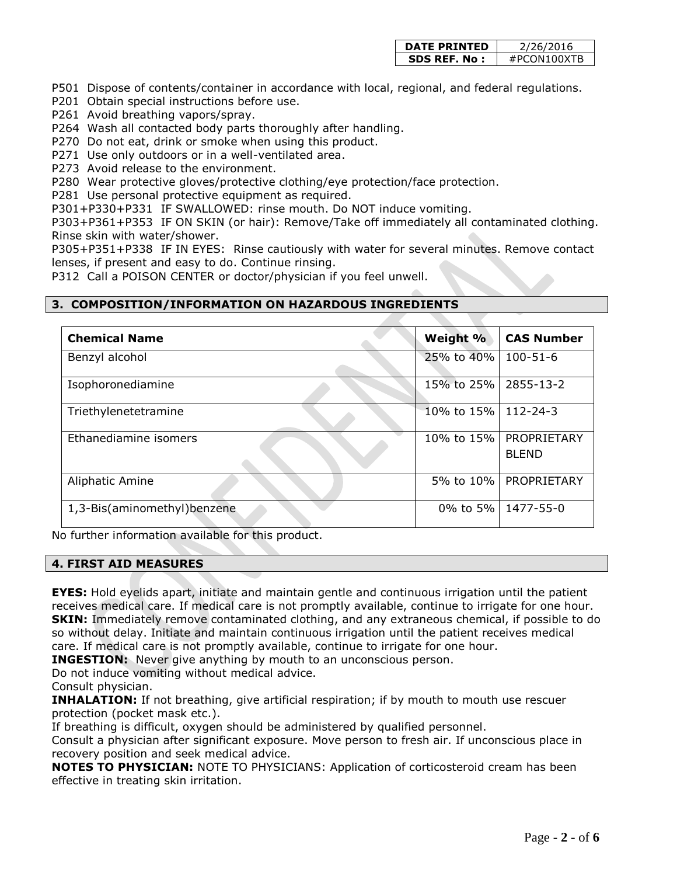| <b>DATE PRINTED</b> | 2/26/2016   |  |
|---------------------|-------------|--|
| SDS REF. No :       | #PCON100XTR |  |

P501 Dispose of contents/container in accordance with local, regional, and federal regulations.

P201 Obtain special instructions before use.

P261 Avoid breathing vapors/spray.

P264 Wash all contacted body parts thoroughly after handling.

P270 Do not eat, drink or smoke when using this product.

P271 Use only outdoors or in a well-ventilated area.

P273 Avoid release to the environment.

P280 Wear protective gloves/protective clothing/eye protection/face protection.

P281 Use personal protective equipment as required.

P301+P330+P331 IF SWALLOWED: rinse mouth. Do NOT induce vomiting.

P303+P361+P353 IF ON SKIN (or hair): Remove/Take off immediately all contaminated clothing. Rinse skin with water/shower.

P305+P351+P338 IF IN EYES: Rinse cautiously with water for several minutes. Remove contact lenses, if present and easy to do. Continue rinsing.

P312 Call a POISON CENTER or doctor/physician if you feel unwell.

#### **3. COMPOSITION/INFORMATION ON HAZARDOUS INGREDIENTS**

| <b>Chemical Name</b>        | Weight %   | <b>CAS Number</b>           |
|-----------------------------|------------|-----------------------------|
| Benzyl alcohol              | 25% to 40% | $100 - 51 - 6$              |
| Isophoronediamine           | 15% to 25% | 2855-13-2                   |
| Triethylenetetramine        | 10% to 15% | $112 - 24 - 3$              |
| Ethanediamine isomers       | 10% to 15% | PROPRIETARY<br><b>BLEND</b> |
| Aliphatic Amine             | 5% to 10%  | PROPRIETARY                 |
| 1,3-Bis(aminomethyl)benzene | 0% to 5%   | 1477-55-0                   |

No further information available for this product.

#### **4. FIRST AID MEASURES**

**EYES:** Hold eyelids apart, initiate and maintain gentle and continuous irrigation until the patient receives medical care. If medical care is not promptly available, continue to irrigate for one hour. **SKIN:** Immediately remove contaminated clothing, and any extraneous chemical, if possible to do so without delay. Initiate and maintain continuous irrigation until the patient receives medical care. If medical care is not promptly available, continue to irrigate for one hour.

**INGESTION:** Never give anything by mouth to an unconscious person.

Do not induce vomiting without medical advice.

Consult physician.

**INHALATION:** If not breathing, give artificial respiration; if by mouth to mouth use rescuer protection (pocket mask etc.).

If breathing is difficult, oxygen should be administered by qualified personnel.

Consult a physician after significant exposure. Move person to fresh air. If unconscious place in recovery position and seek medical advice.

**NOTES TO PHYSICIAN:** NOTE TO PHYSICIANS: Application of corticosteroid cream has been effective in treating skin irritation.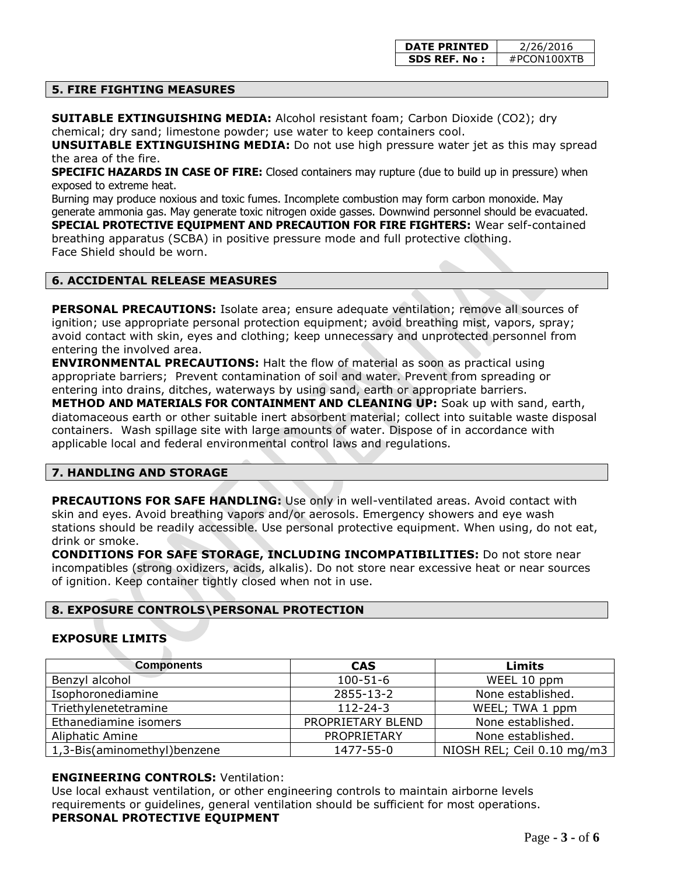#### **5. FIRE FIGHTING MEASURES**

**SUITABLE EXTINGUISHING MEDIA:** Alcohol resistant foam; Carbon Dioxide (CO2); dry chemical; dry sand; limestone powder; use water to keep containers cool.

**UNSUITABLE EXTINGUISHING MEDIA:** Do not use high pressure water jet as this may spread the area of the fire.

**SPECIFIC HAZARDS IN CASE OF FIRE:** Closed containers may rupture (due to build up in pressure) when exposed to extreme heat.

Burning may produce noxious and toxic fumes. Incomplete combustion may form carbon monoxide. May generate ammonia gas. May generate toxic nitrogen oxide gasses. Downwind personnel should be evacuated.

**SPECIAL PROTECTIVE EQUIPMENT AND PRECAUTION FOR FIRE FIGHTERS:** Wear self-contained breathing apparatus (SCBA) in positive pressure mode and full protective clothing. Face Shield should be worn.

#### **6. ACCIDENTAL RELEASE MEASURES**

**PERSONAL PRECAUTIONS:** Isolate area; ensure adequate ventilation; remove all sources of ignition; use appropriate personal protection equipment; avoid breathing mist, vapors, spray; avoid contact with skin, eyes and clothing; keep unnecessary and unprotected personnel from entering the involved area.

**ENVIRONMENTAL PRECAUTIONS:** Halt the flow of material as soon as practical using appropriate barriers; Prevent contamination of soil and water. Prevent from spreading or entering into drains, ditches, waterways by using sand, earth or appropriate barriers. **METHOD AND MATERIALS FOR CONTAINMENT AND CLEANING UP:** Soak up with sand, earth, diatomaceous earth or other suitable inert absorbent material; collect into suitable waste disposal containers. Wash spillage site with large amounts of water. Dispose of in accordance with applicable local and federal environmental control laws and regulations.

#### **7. HANDLING AND STORAGE**

**PRECAUTIONS FOR SAFE HANDLING:** Use only in well-ventilated areas. Avoid contact with skin and eyes. Avoid breathing vapors and/or aerosols. Emergency showers and eye wash stations should be readily accessible. Use personal protective equipment. When using, do not eat, drink or smoke.

**CONDITIONS FOR SAFE STORAGE, INCLUDING INCOMPATIBILITIES:** Do not store near incompatibles (strong oxidizers, acids, alkalis). Do not store near excessive heat or near sources of ignition. Keep container tightly closed when not in use.

#### **8. EXPOSURE CONTROLS\PERSONAL PROTECTION**

#### **EXPOSURE LIMITS**

| <b>Components</b>           | <b>CAS</b>        | Limits                     |
|-----------------------------|-------------------|----------------------------|
| Benzyl alcohol              | $100 - 51 - 6$    | WEEL 10 ppm                |
| Isophoronediamine           | 2855-13-2         | None established.          |
| Triethylenetetramine        | $112 - 24 - 3$    | WEEL; TWA 1 ppm            |
| Ethanediamine isomers       | PROPRIETARY BLEND | None established.          |
| <b>Aliphatic Amine</b>      | PROPRIETARY       | None established.          |
| 1,3-Bis(aminomethyl)benzene | 1477-55-0         | NIOSH REL; Ceil 0.10 mg/m3 |

#### **ENGINEERING CONTROLS:** Ventilation:

Use local exhaust ventilation, or other engineering controls to maintain airborne levels requirements or guidelines, general ventilation should be sufficient for most operations. **PERSONAL PROTECTIVE EQUIPMENT**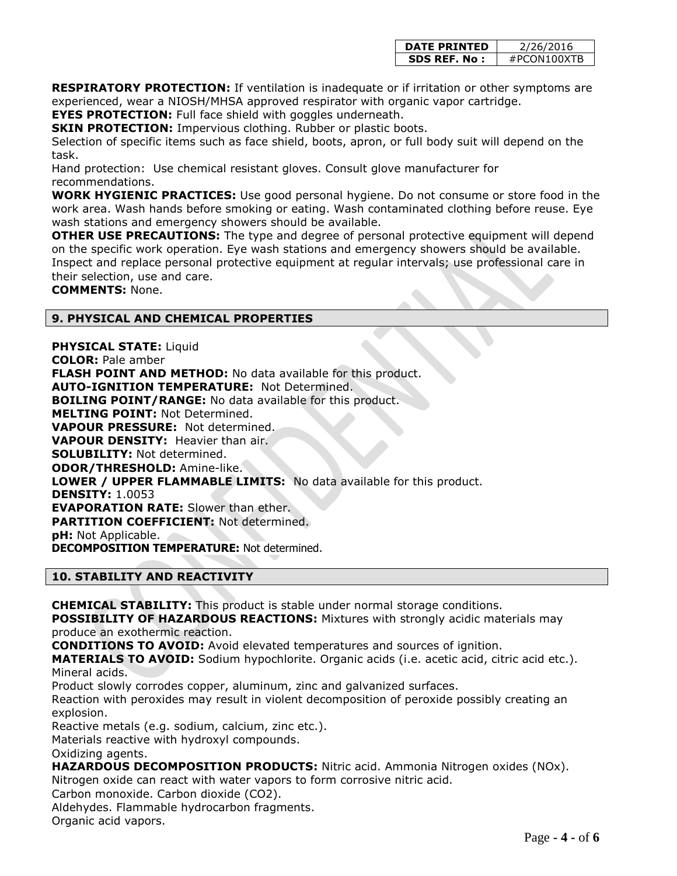| <b>DATE PRINTED</b> | 2/26/2016   |  |
|---------------------|-------------|--|
| SDS REF. No :       | #PCON100XTR |  |

**RESPIRATORY PROTECTION:** If ventilation is inadequate or if irritation or other symptoms are experienced, wear a NIOSH/MHSA approved respirator with organic vapor cartridge.

**EYES PROTECTION:** Full face shield with goggles underneath.

**SKIN PROTECTION: Impervious clothing. Rubber or plastic boots.** 

Selection of specific items such as face shield, boots, apron, or full body suit will depend on the task.

Hand protection: Use chemical resistant gloves. Consult glove manufacturer for recommendations.

**WORK HYGIENIC PRACTICES:** Use good personal hygiene. Do not consume or store food in the work area. Wash hands before smoking or eating. Wash contaminated clothing before reuse. Eye wash stations and emergency showers should be available.

**OTHER USE PRECAUTIONS:** The type and degree of personal protective equipment will depend on the specific work operation. Eye wash stations and emergency showers should be available. Inspect and replace personal protective equipment at regular intervals; use professional care in their selection, use and care.

**COMMENTS:** None.

#### **9. PHYSICAL AND CHEMICAL PROPERTIES**

**PHYSICAL STATE:** Liquid **COLOR:** Pale amber **FLASH POINT AND METHOD:** No data available for this product. **AUTO-IGNITION TEMPERATURE:** Not Determined. **BOILING POINT/RANGE:** No data available for this product. **MELTING POINT:** Not Determined. **VAPOUR PRESSURE:** Not determined. **VAPOUR DENSITY:** Heavier than air. **SOLUBILITY:** Not determined. **ODOR/THRESHOLD:** Amine-like. **LOWER / UPPER FLAMMABLE LIMITS:** No data available for this product. **DENSITY:** 1.0053 **EVAPORATION RATE:** Slower than ether. **PARTITION COEFFICIENT:** Not determined. **pH:** Not Applicable. **DECOMPOSITION TEMPERATURE:** Not determined.

#### **10. STABILITY AND REACTIVITY**

**CHEMICAL STABILITY:** This product is stable under normal storage conditions.

**POSSIBILITY OF HAZARDOUS REACTIONS:** Mixtures with strongly acidic materials may produce an exothermic reaction.

**CONDITIONS TO AVOID:** Avoid elevated temperatures and sources of ignition.

**MATERIALS TO AVOID:** Sodium hypochlorite. Organic acids (i.e. acetic acid, citric acid etc.). Mineral acids.

Product slowly corrodes copper, aluminum, zinc and galvanized surfaces.

Reaction with peroxides may result in violent decomposition of peroxide possibly creating an explosion.

Reactive metals (e.g. sodium, calcium, zinc etc.).

Materials reactive with hydroxyl compounds.

Oxidizing agents.

**HAZARDOUS DECOMPOSITION PRODUCTS:** Nitric acid. Ammonia Nitrogen oxides (NOx).

Nitrogen oxide can react with water vapors to form corrosive nitric acid.

Carbon monoxide. Carbon dioxide (CO2).

Aldehydes. Flammable hydrocarbon fragments.

Organic acid vapors.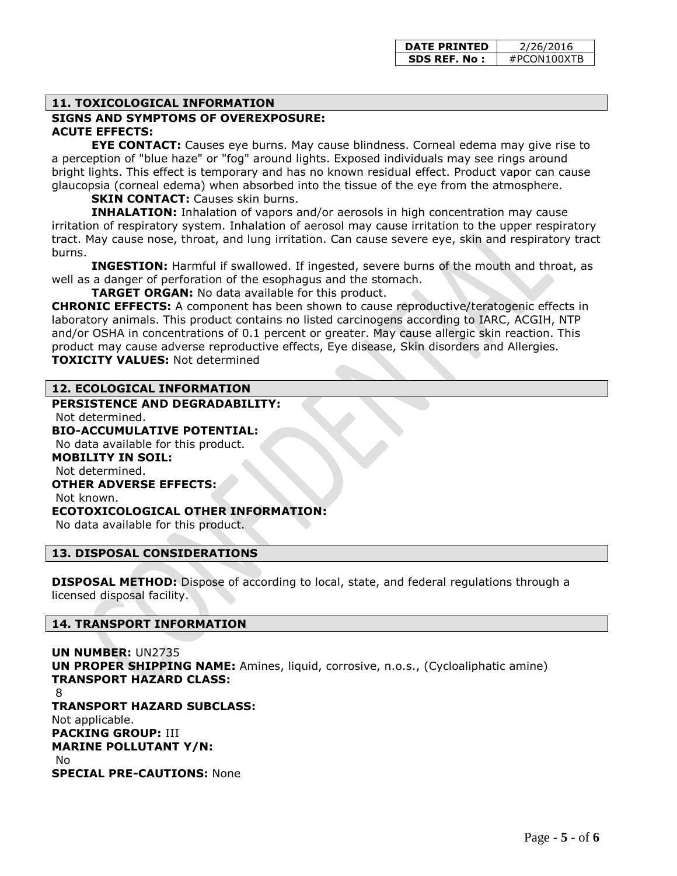#### **11. TOXICOLOGICAL INFORMATION**

#### **SIGNS AND SYMPTOMS OF OVEREXPOSURE: ACUTE EFFECTS:**

**EYE CONTACT:** Causes eye burns. May cause blindness. Corneal edema may give rise to a perception of "blue haze" or "fog" around lights. Exposed individuals may see rings around bright lights. This effect is temporary and has no known residual effect. Product vapor can cause glaucopsia (corneal edema) when absorbed into the tissue of the eye from the atmosphere.

#### **SKIN CONTACT:** Causes skin burns.

**INHALATION:** Inhalation of vapors and/or aerosols in high concentration may cause irritation of respiratory system. Inhalation of aerosol may cause irritation to the upper respiratory tract. May cause nose, throat, and lung irritation. Can cause severe eye, skin and respiratory tract burns.

**INGESTION:** Harmful if swallowed. If ingested, severe burns of the mouth and throat, as well as a danger of perforation of the esophagus and the stomach.

**TARGET ORGAN:** No data available for this product.

**CHRONIC EFFECTS:** A component has been shown to cause reproductive/teratogenic effects in laboratory animals. This product contains no listed carcinogens according to IARC, ACGIH, NTP and/or OSHA in concentrations of 0.1 percent or greater. May cause allergic skin reaction. This product may cause adverse reproductive effects, Eye disease, Skin disorders and Allergies. **TOXICITY VALUES:** Not determined

#### **12. ECOLOGICAL INFORMATION**

**PERSISTENCE AND DEGRADABILITY:** Not determined. **BIO-ACCUMULATIVE POTENTIAL:** No data available for this product. **MOBILITY IN SOIL:** Not determined. **OTHER ADVERSE EFFECTS:** Not known. **ECOTOXICOLOGICAL OTHER INFORMATION:** No data available for this product.

#### **13. DISPOSAL CONSIDERATIONS**

**DISPOSAL METHOD:** Dispose of according to local, state, and federal regulations through a licensed disposal facility.

#### **14. TRANSPORT INFORMATION**

**UN NUMBER:** UN2735 **UN PROPER SHIPPING NAME:** Amines, liquid, corrosive, n.o.s., (Cycloaliphatic amine) **TRANSPORT HAZARD CLASS:** 8 **TRANSPORT HAZARD SUBCLASS:** Not applicable. **PACKING GROUP:** III **MARINE POLLUTANT Y/N:** No **SPECIAL PRE-CAUTIONS:** None